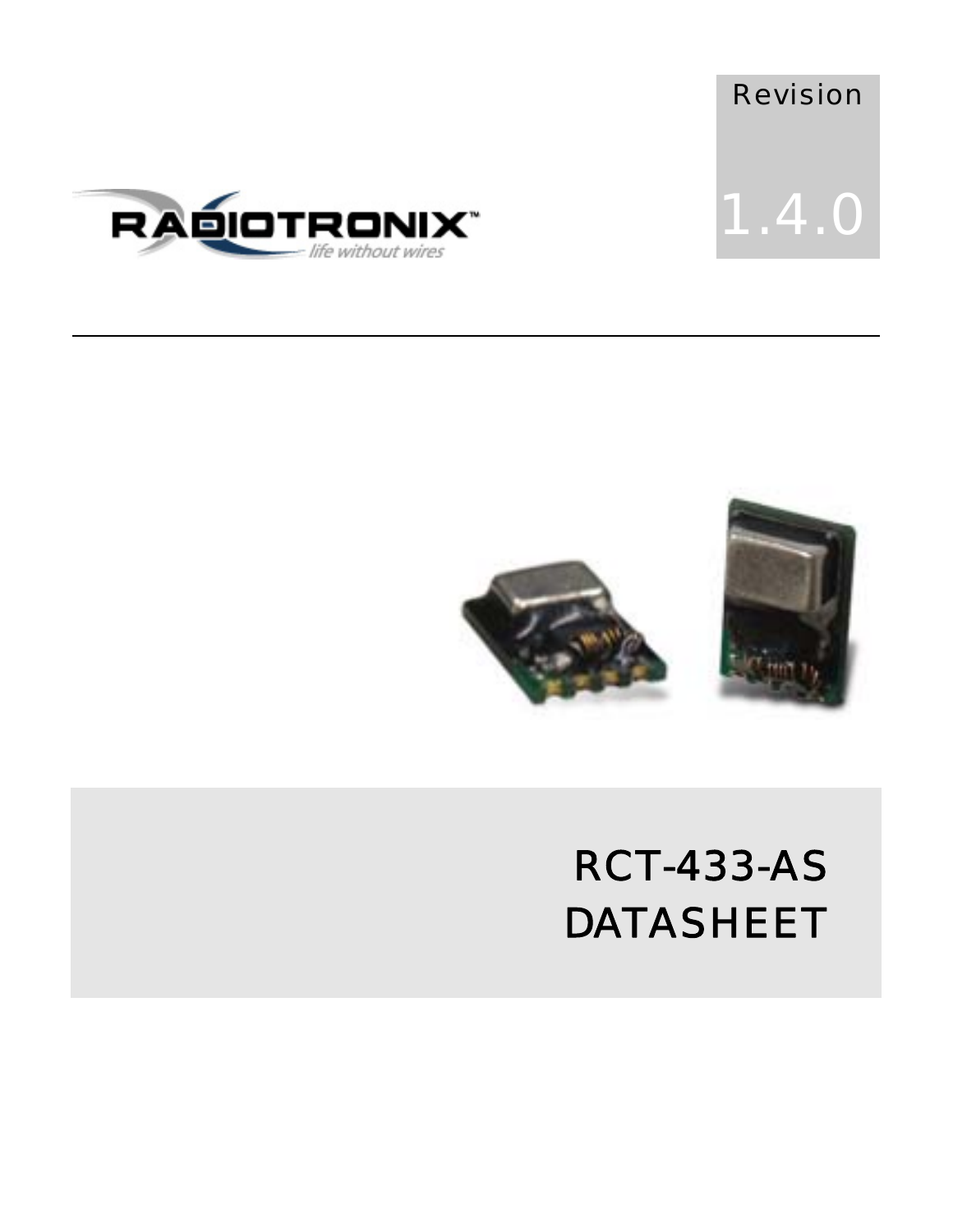





### RCT-433-AS DATASHEET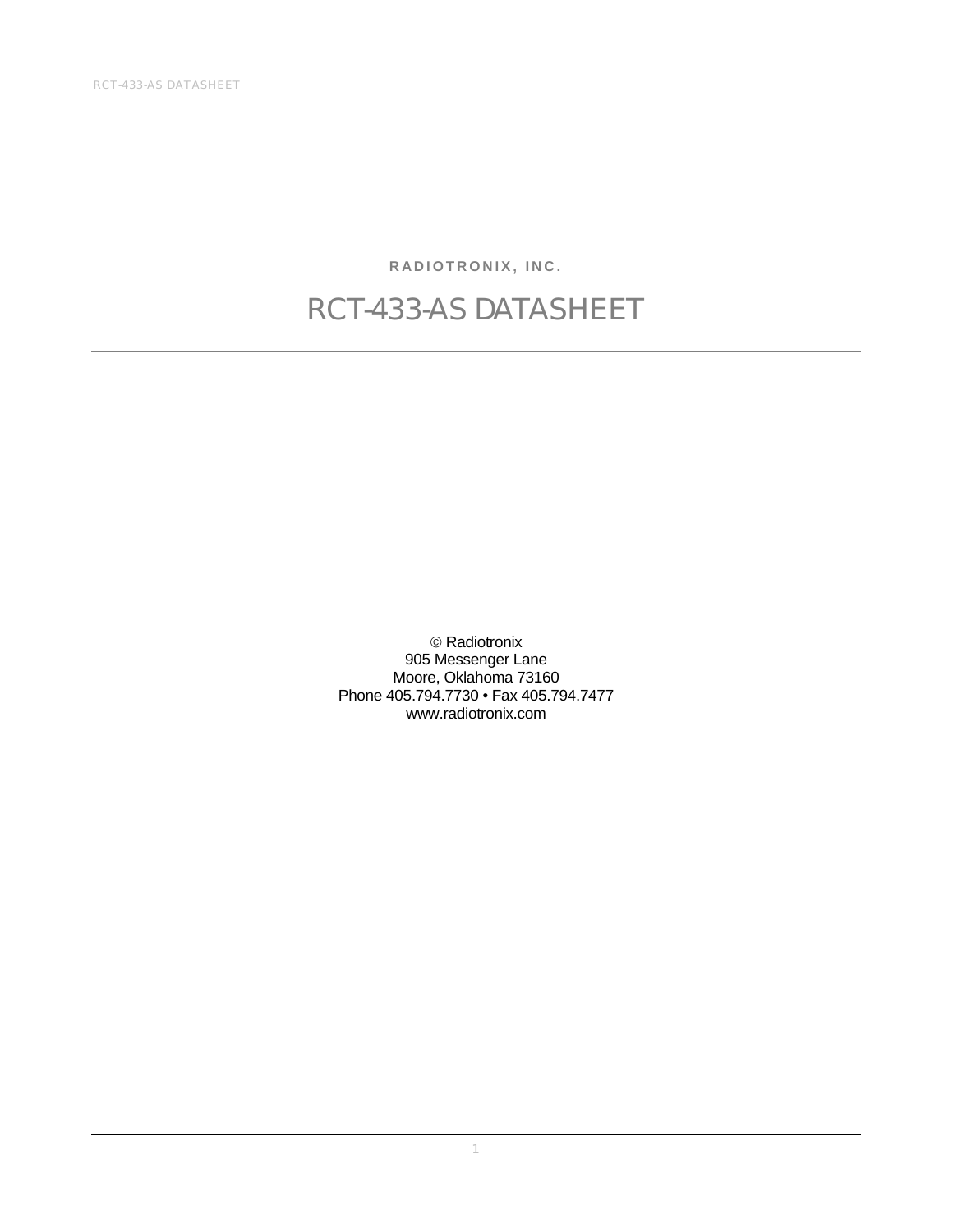RCT-433-AS DATASHEET

**RADIOTRONIX, INC.** 

#### RCT-433-AS DATASHEET

© Radiotronix 905 Messenger Lane Moore, Oklahoma 73160 Phone 405.794.7730 • Fax 405.794.7477 www.radiotronix.com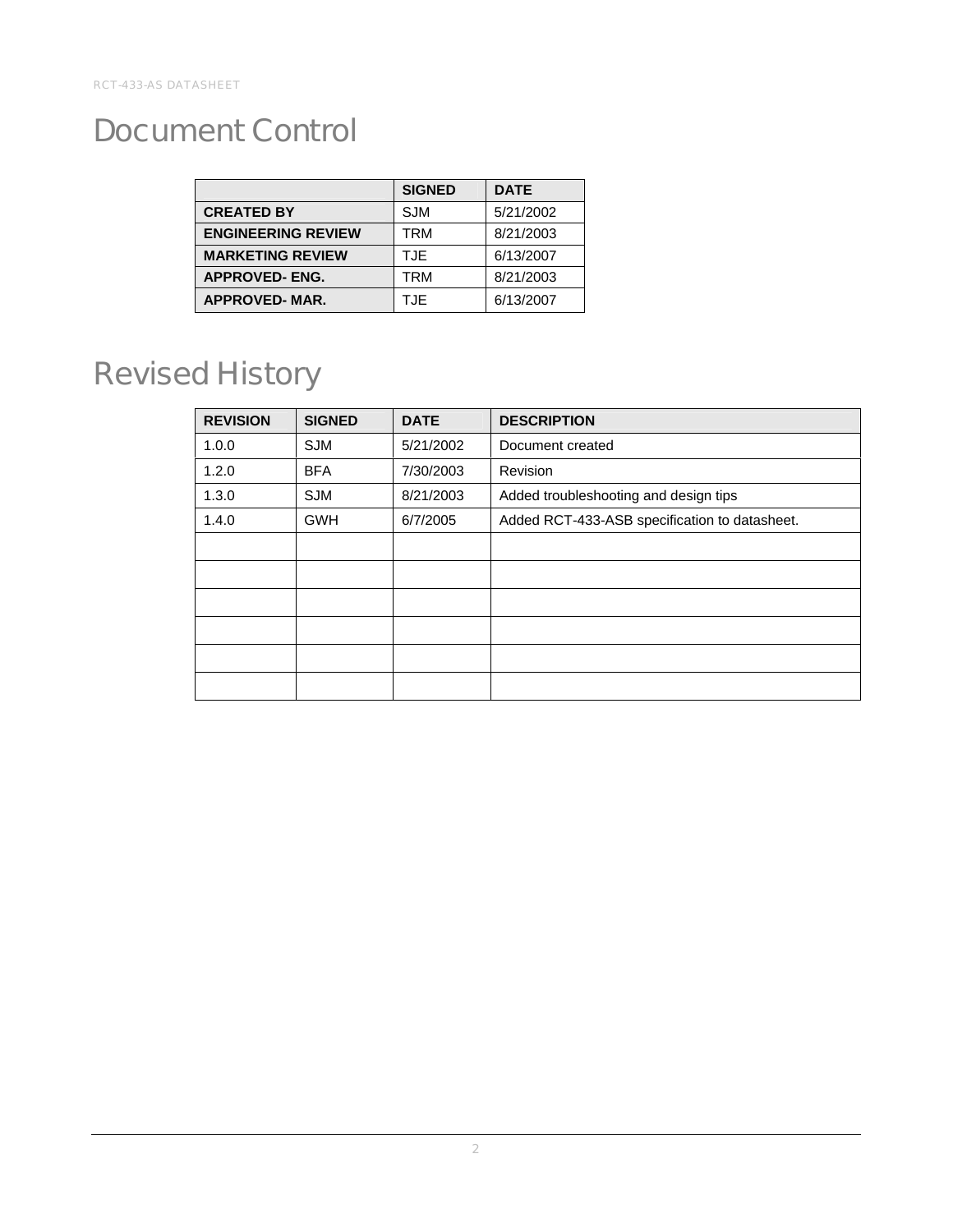#### Document Control

|                           | <b>SIGNED</b> | <b>DATE</b> |
|---------------------------|---------------|-------------|
| <b>CREATED BY</b>         | <b>SJM</b>    | 5/21/2002   |
| <b>ENGINEERING REVIEW</b> | TRM           | 8/21/2003   |
| <b>MARKETING REVIEW</b>   | <b>TJE</b>    | 6/13/2007   |
| <b>APPROVED-ENG.</b>      | TRM           | 8/21/2003   |
| <b>APPROVED-MAR.</b>      | T.JF          | 6/13/2007   |

#### Revised History

| <b>REVISION</b> | <b>SIGNED</b> | <b>DATE</b> | <b>DESCRIPTION</b>                            |  |
|-----------------|---------------|-------------|-----------------------------------------------|--|
| 1.0.0           | <b>SJM</b>    | 5/21/2002   | Document created                              |  |
| 1.2.0           | <b>BFA</b>    | 7/30/2003   | Revision                                      |  |
| 1.3.0           | <b>SJM</b>    | 8/21/2003   | Added troubleshooting and design tips         |  |
| 1.4.0           | <b>GWH</b>    | 6/7/2005    | Added RCT-433-ASB specification to datasheet. |  |
|                 |               |             |                                               |  |
|                 |               |             |                                               |  |
|                 |               |             |                                               |  |
|                 |               |             |                                               |  |
|                 |               |             |                                               |  |
|                 |               |             |                                               |  |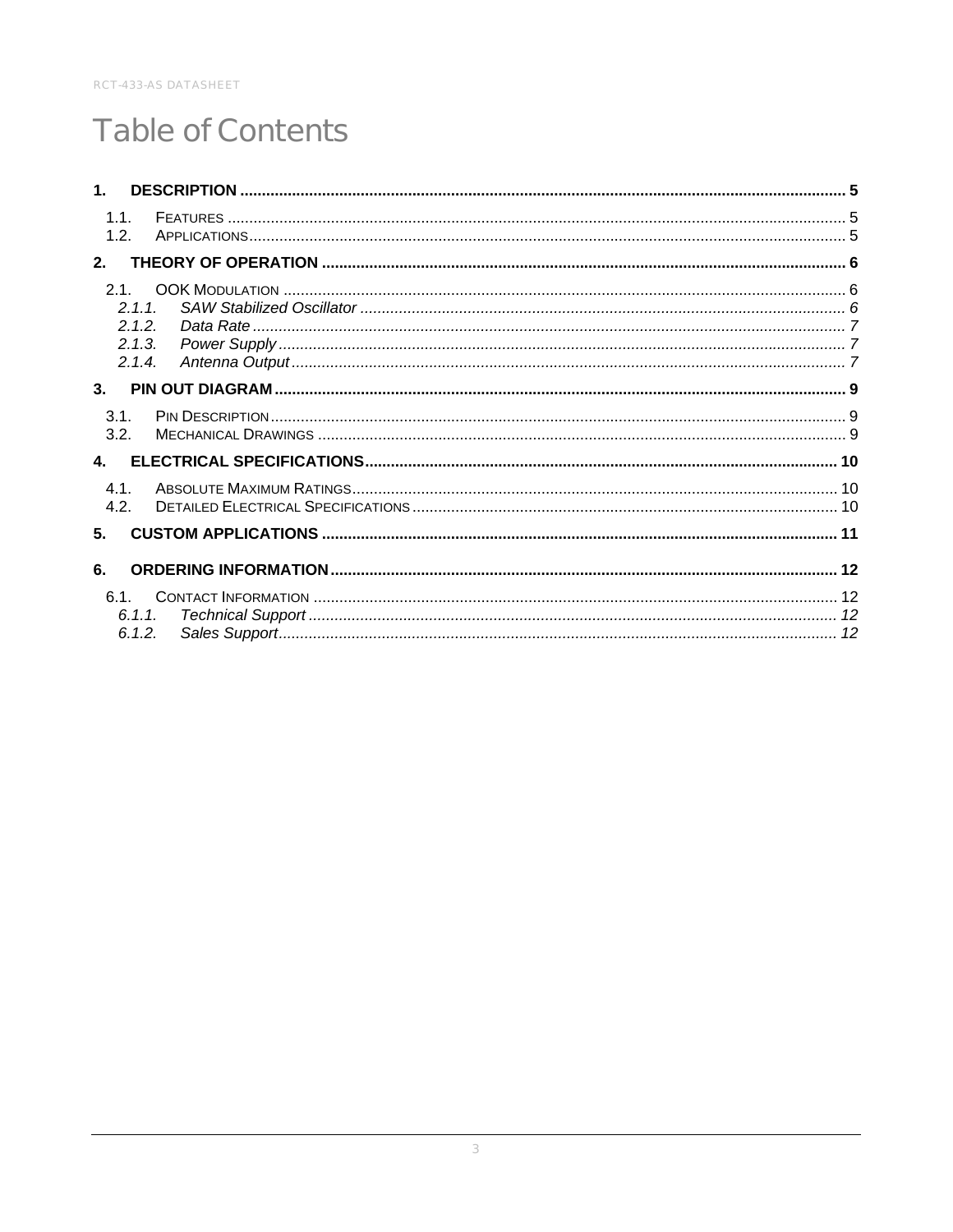#### **Table of Contents**

| 1 <sub>1</sub> |                                     |  |
|----------------|-------------------------------------|--|
| 1.1.<br>1.2.   |                                     |  |
| 2.             |                                     |  |
| 2.1.           | 2.1.1<br>2.1.2.<br>2.1.3.<br>2.1.4. |  |
| 3.             |                                     |  |
| 3.1.<br>3.2.   |                                     |  |
| 4.             |                                     |  |
| 4.1.<br>4.2.   |                                     |  |
| 5.             |                                     |  |
| 6.             |                                     |  |
|                | 6.1.1.<br>6.1.2.                    |  |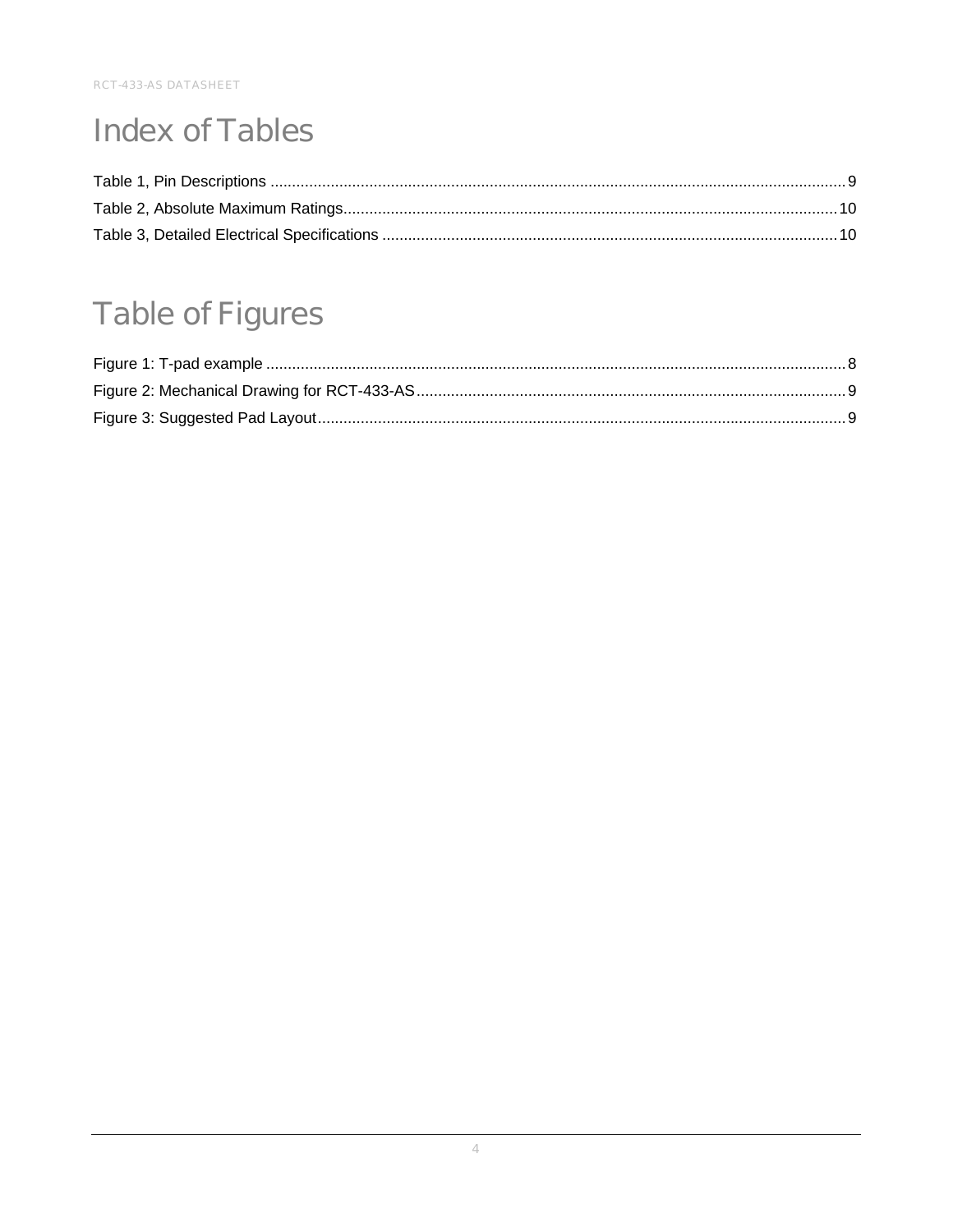#### **Index of Tables**

#### **Table of Figures**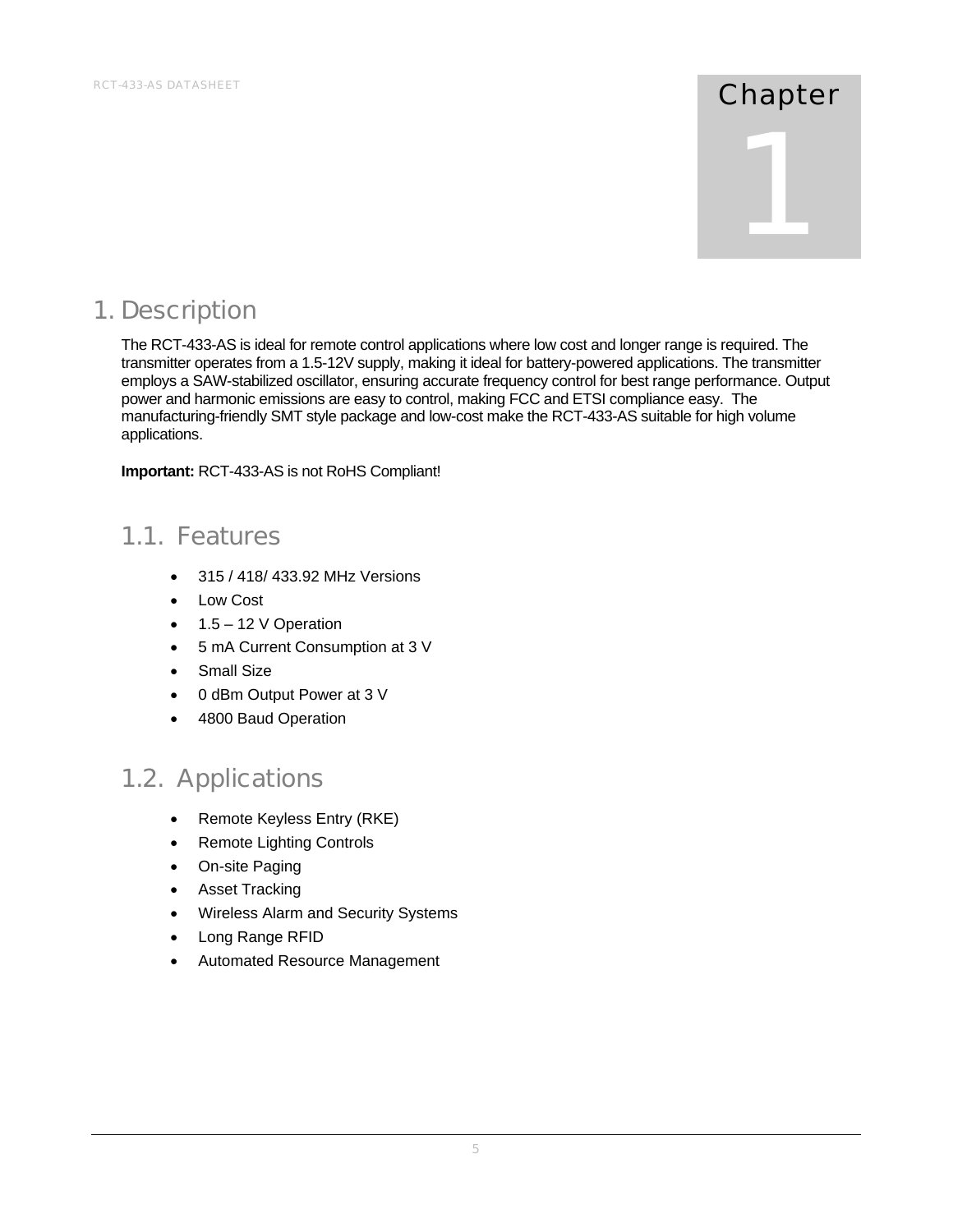# 1

#### 1. Description

The RCT-433-AS is ideal for remote control applications where low cost and longer range is required. The transmitter operates from a 1.5-12V supply, making it ideal for battery-powered applications. The transmitter employs a SAW-stabilized oscillator, ensuring accurate frequency control for best range performance. Output power and harmonic emissions are easy to control, making FCC and ETSI compliance easy. The manufacturing-friendly SMT style package and low-cost make the RCT-433-AS suitable for high volume applications.

**Important:** RCT-433-AS is not RoHS Compliant!

#### 1.1. Features

- 315 / 418/ 433.92 MHz Versions
- Low Cost
- $\bullet$  1.5 12 V Operation
- 5 mA Current Consumption at 3 V
- Small Size
- 0 dBm Output Power at 3 V
- 4800 Baud Operation

#### 1.2. Applications

- Remote Keyless Entry (RKE)
- Remote Lighting Controls
- On-site Paging
- Asset Tracking
- Wireless Alarm and Security Systems
- Long Range RFID
- Automated Resource Management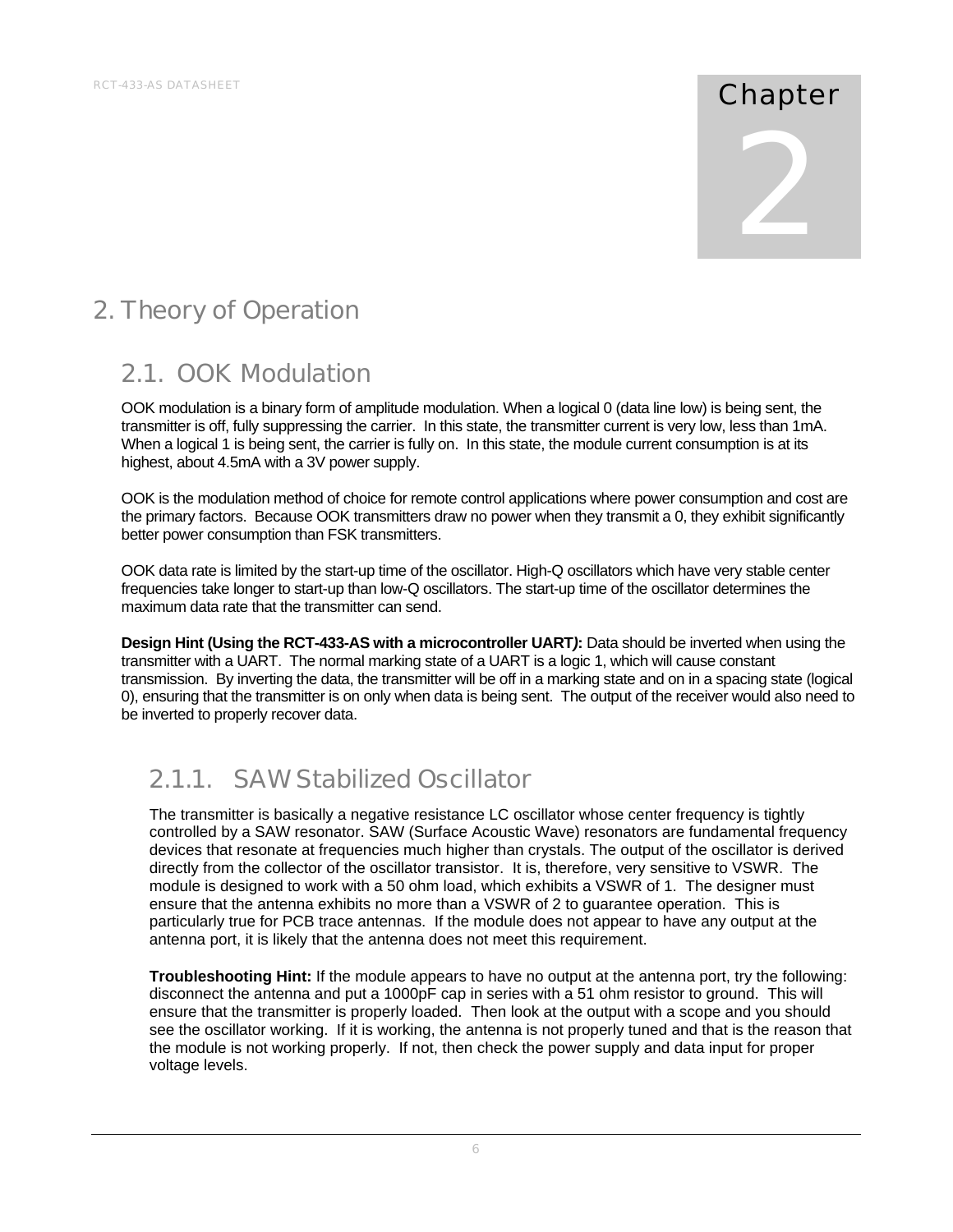# 2

#### 2. Theory of Operation

#### 2.1. OOK Modulation

OOK modulation is a binary form of amplitude modulation. When a logical 0 (data line low) is being sent, the transmitter is off, fully suppressing the carrier. In this state, the transmitter current is very low, less than 1mA. When a logical 1 is being sent, the carrier is fully on. In this state, the module current consumption is at its highest, about 4.5mA with a 3V power supply.

OOK is the modulation method of choice for remote control applications where power consumption and cost are the primary factors. Because OOK transmitters draw no power when they transmit a 0, they exhibit significantly better power consumption than FSK transmitters.

OOK data rate is limited by the start-up time of the oscillator. High-Q oscillators which have very stable center frequencies take longer to start-up than low-Q oscillators. The start-up time of the oscillator determines the maximum data rate that the transmitter can send.

**Design Hint (Using the RCT-433-AS with a microcontroller UART***)***:** Data should be inverted when using the transmitter with a UART. The normal marking state of a UART is a logic 1, which will cause constant transmission. By inverting the data, the transmitter will be off in a marking state and on in a spacing state (logical 0), ensuring that the transmitter is on only when data is being sent. The output of the receiver would also need to be inverted to properly recover data.

#### 2.1.1. SAW Stabilized Oscillator

The transmitter is basically a negative resistance LC oscillator whose center frequency is tightly controlled by a SAW resonator. SAW (Surface Acoustic Wave) resonators are fundamental frequency devices that resonate at frequencies much higher than crystals. The output of the oscillator is derived directly from the collector of the oscillator transistor. It is, therefore, very sensitive to VSWR. The module is designed to work with a 50 ohm load, which exhibits a VSWR of 1. The designer must ensure that the antenna exhibits no more than a VSWR of 2 to guarantee operation. This is particularly true for PCB trace antennas. If the module does not appear to have any output at the antenna port, it is likely that the antenna does not meet this requirement.

**Troubleshooting Hint:** If the module appears to have no output at the antenna port, try the following: disconnect the antenna and put a 1000pF cap in series with a 51 ohm resistor to ground. This will ensure that the transmitter is properly loaded. Then look at the output with a scope and you should see the oscillator working. If it is working, the antenna is not properly tuned and that is the reason that the module is not working properly. If not, then check the power supply and data input for proper voltage levels.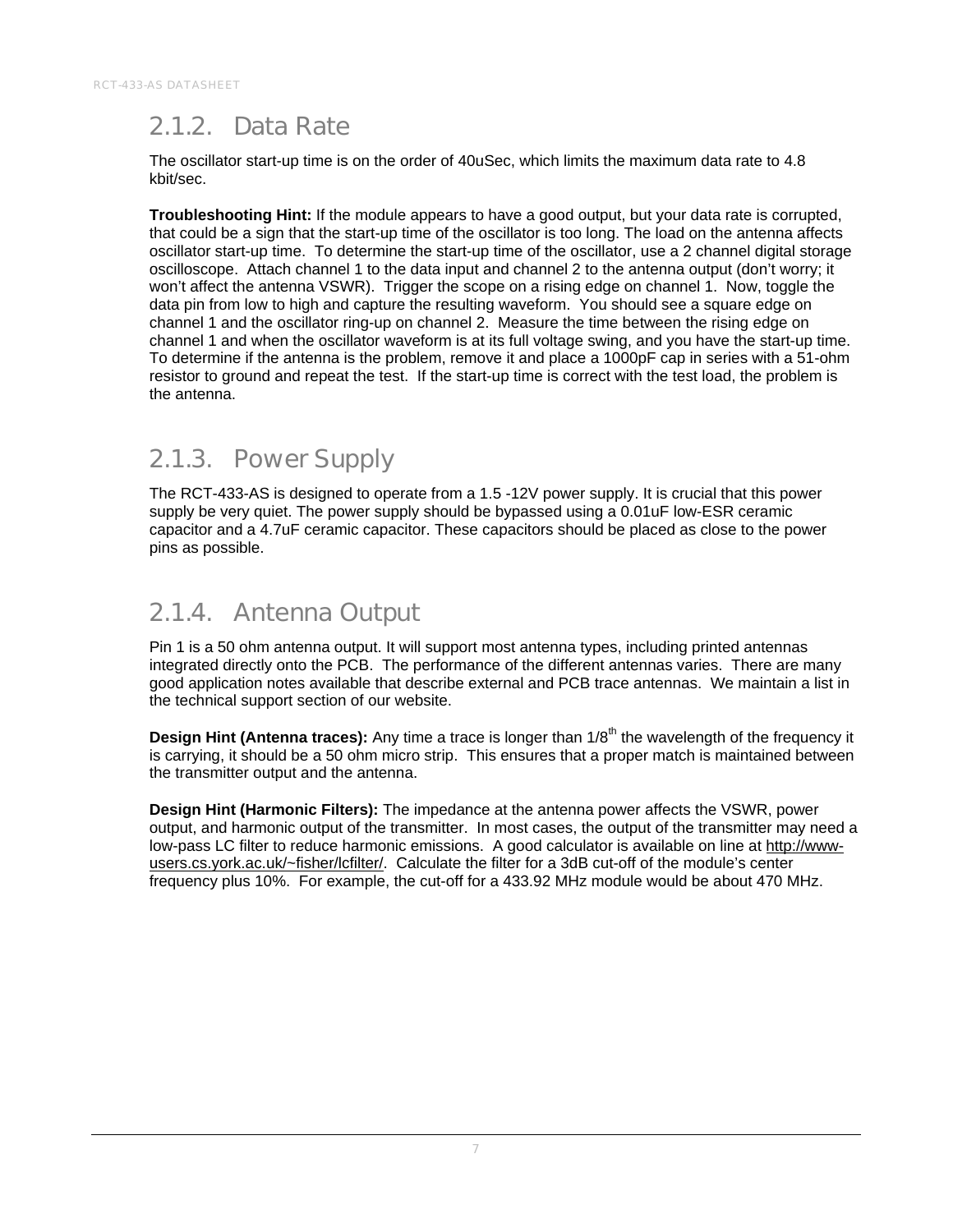#### 2.1.2. Data Rate

The oscillator start-up time is on the order of 40uSec, which limits the maximum data rate to 4.8 kbit/sec.

**Troubleshooting Hint:** If the module appears to have a good output, but your data rate is corrupted, that could be a sign that the start-up time of the oscillator is too long. The load on the antenna affects oscillator start-up time. To determine the start-up time of the oscillator, use a 2 channel digital storage oscilloscope. Attach channel 1 to the data input and channel 2 to the antenna output (don't worry; it won't affect the antenna VSWR). Trigger the scope on a rising edge on channel 1. Now, toggle the data pin from low to high and capture the resulting waveform. You should see a square edge on channel 1 and the oscillator ring-up on channel 2. Measure the time between the rising edge on channel 1 and when the oscillator waveform is at its full voltage swing, and you have the start-up time. To determine if the antenna is the problem, remove it and place a 1000pF cap in series with a 51-ohm resistor to ground and repeat the test. If the start-up time is correct with the test load, the problem is the antenna.

#### 2.1.3. Power Supply

The RCT-433-AS is designed to operate from a 1.5 -12V power supply. It is crucial that this power supply be very quiet. The power supply should be bypassed using a 0.01uF low-ESR ceramic capacitor and a 4.7uF ceramic capacitor. These capacitors should be placed as close to the power pins as possible.

#### 2.1.4. Antenna Output

Pin 1 is a 50 ohm antenna output. It will support most antenna types, including printed antennas integrated directly onto the PCB. The performance of the different antennas varies. There are many good application notes available that describe external and PCB trace antennas. We maintain a list in the technical support section of our website.

**Design Hint (Antenna traces):** Any time a trace is longer than 1/8<sup>th</sup> the wavelength of the frequency it is carrying, it should be a 50 ohm micro strip. This ensures that a proper match is maintained between the transmitter output and the antenna.

**Design Hint (Harmonic Filters):** The impedance at the antenna power affects the VSWR, power output, and harmonic output of the transmitter. In most cases, the output of the transmitter may need a low-pass LC filter to reduce harmonic emissions. A good calculator is available on line at http://wwwusers.cs.york.ac.uk/~fisher/lcfilter/. Calculate the filter for a 3dB cut-off of the module's center frequency plus 10%. For example, the cut-off for a 433.92 MHz module would be about 470 MHz.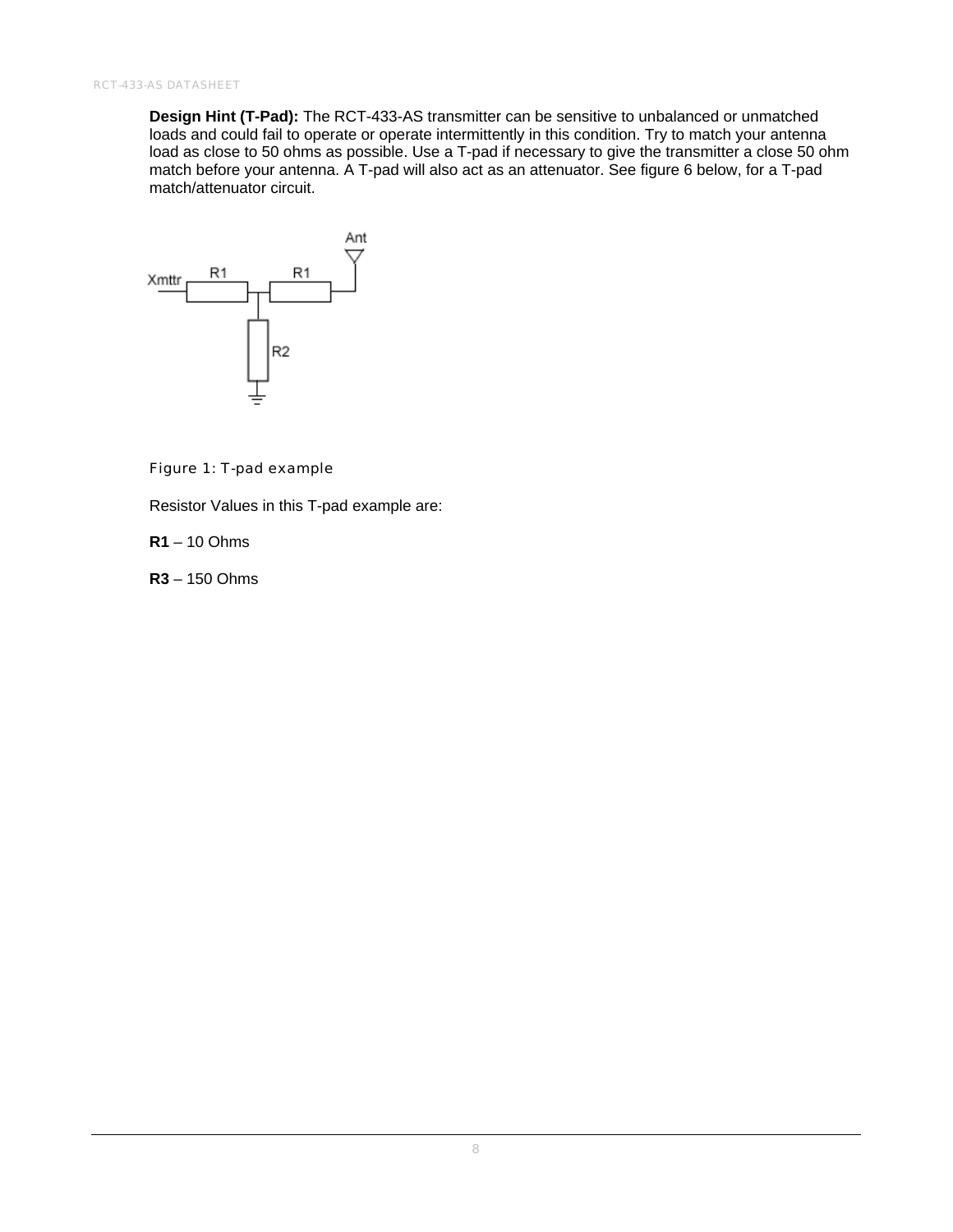**Design Hint (T-Pad):** The RCT-433-AS transmitter can be sensitive to unbalanced or unmatched loads and could fail to operate or operate intermittently in this condition. Try to match your antenna load as close to 50 ohms as possible. Use a T-pad if necessary to give the transmitter a close 50 ohm match before your antenna. A T-pad will also act as an attenuator. See figure 6 below, for a T-pad match/attenuator circuit.



#### Figure 1: T-pad example

Resistor Values in this T-pad example are:

**R1** – 10 Ohms

**R3** – 150 Ohms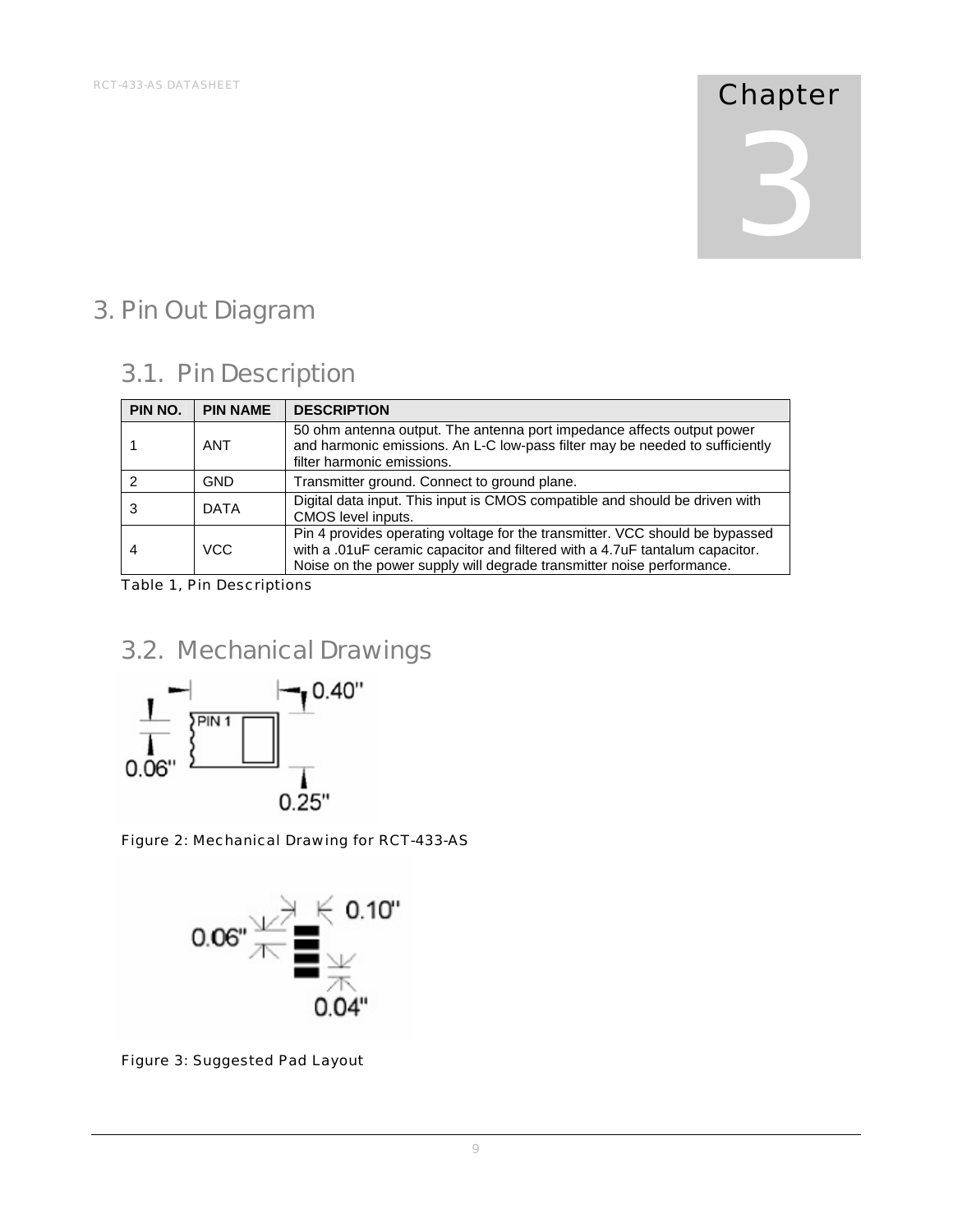# 3

#### 3. Pin Out Diagram

#### 3.1. Pin Description

| PIN NO. | <b>PIN NAME</b> | <b>DESCRIPTION</b>                                                                                                                                                                                                                    |
|---------|-----------------|---------------------------------------------------------------------------------------------------------------------------------------------------------------------------------------------------------------------------------------|
|         | <b>ANT</b>      | 50 ohm antenna output. The antenna port impedance affects output power<br>and harmonic emissions. An L-C low-pass filter may be needed to sufficiently<br>filter harmonic emissions.                                                  |
|         | GND             | Transmitter ground. Connect to ground plane.                                                                                                                                                                                          |
|         | <b>DATA</b>     | Digital data input. This input is CMOS compatible and should be driven with<br>CMOS level inputs.                                                                                                                                     |
|         | VCC             | Pin 4 provides operating voltage for the transmitter. VCC should be bypassed<br>with a .01uF ceramic capacitor and filtered with a 4.7uF tantalum capacitor.<br>Noise on the power supply will degrade transmitter noise performance. |

Table 1, Pin Descriptions

#### 3.2. Mechanical Drawings



Figure 2: Mechanical Drawing for RCT-433-AS



Figure 3: Suggested Pad Layout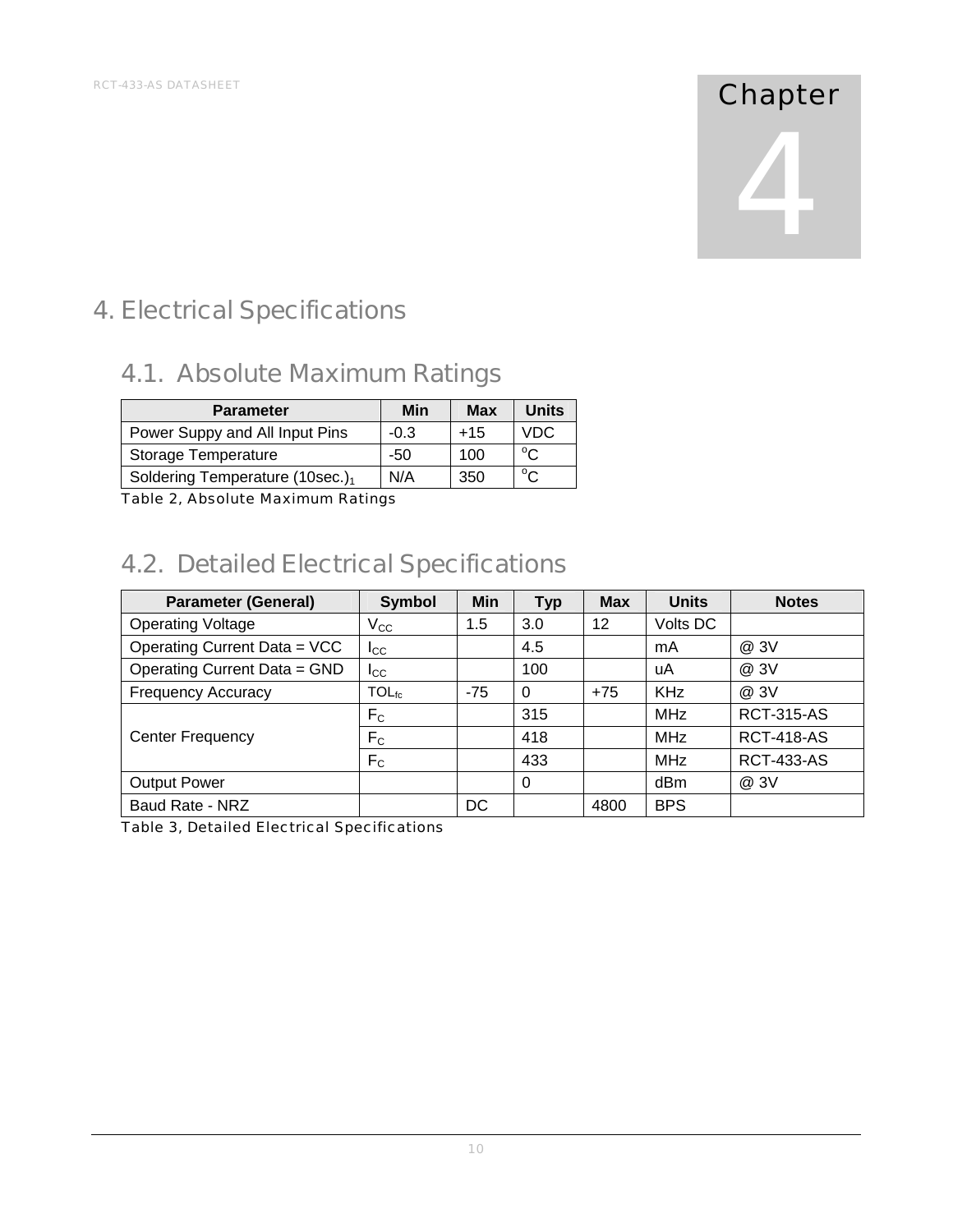### 4

#### 4. Electrical Specifications

#### 4.1. Absolute Maximum Ratings

| <b>Parameter</b>                    | Min    | Max   | <b>Units</b> |
|-------------------------------------|--------|-------|--------------|
| Power Suppy and All Input Pins      | $-0.3$ | $+15$ | VDC.         |
| <b>Storage Temperature</b>          | -50    | 100   | $\sim$       |
| Soldering Temperature (10sec.) $_1$ | N/A    | 350   | $\sim$       |

Table 2, Absolute Maximum Ratings

#### 4.2. Detailed Electrical Specifications

| <b>Parameter (General)</b>   | <b>Symbol</b>     | Min   | <b>Typ</b> | <b>Max</b> | <b>Units</b> | <b>Notes</b>      |
|------------------------------|-------------------|-------|------------|------------|--------------|-------------------|
| <b>Operating Voltage</b>     | $V_{\rm CC}$      | 1.5   | 3.0        | 12         | Volts DC     |                   |
| Operating Current Data = VCC | $_{\rm lcc}$      |       | 4.5        |            | mA           | @ 3V              |
| Operating Current Data = GND | $_{\rm lcc}$      |       | 100        |            | uA           | @ 3V              |
| <b>Frequency Accuracy</b>    | TOL <sub>fc</sub> | $-75$ | $\Omega$   | $+75$      | <b>KHz</b>   | @ 3V              |
|                              | F <sub>C</sub>    |       | 315        |            | <b>MHz</b>   | <b>RCT-315-AS</b> |
| <b>Center Frequency</b>      | F <sub>C</sub>    |       | 418        |            | MHz          | <b>RCT-418-AS</b> |
|                              | F <sub>C</sub>    |       | 433        |            | MHz          | <b>RCT-433-AS</b> |
| <b>Output Power</b>          |                   |       | $\Omega$   |            | dBm          | @3V               |
| Baud Rate - NRZ              |                   | DC    |            | 4800       | <b>BPS</b>   |                   |

Table 3, Detailed Electrical Specifications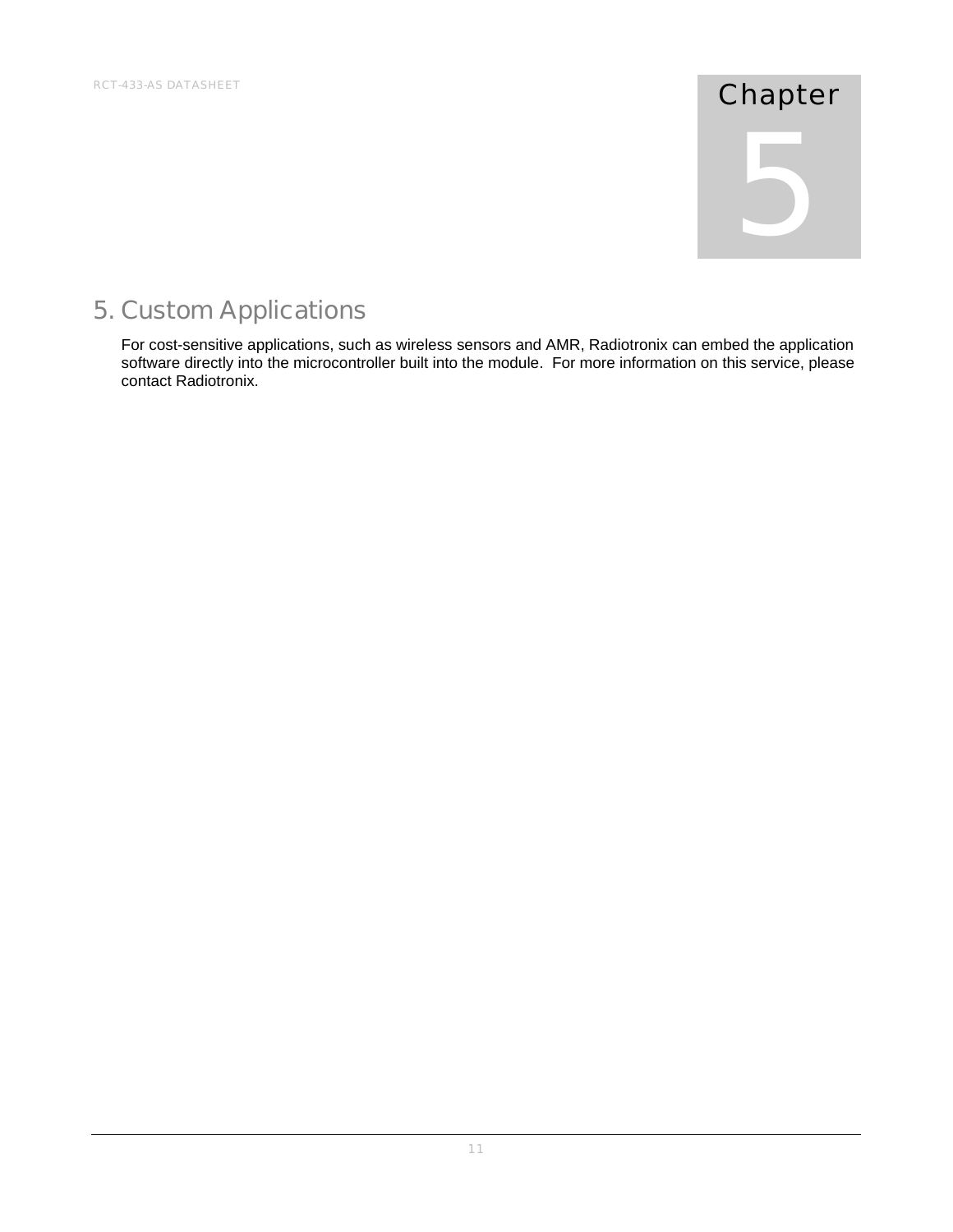# 5

#### 5. Custom Applications

For cost-sensitive applications, such as wireless sensors and AMR, Radiotronix can embed the application software directly into the microcontroller built into the module. For more information on this service, please contact Radiotronix.